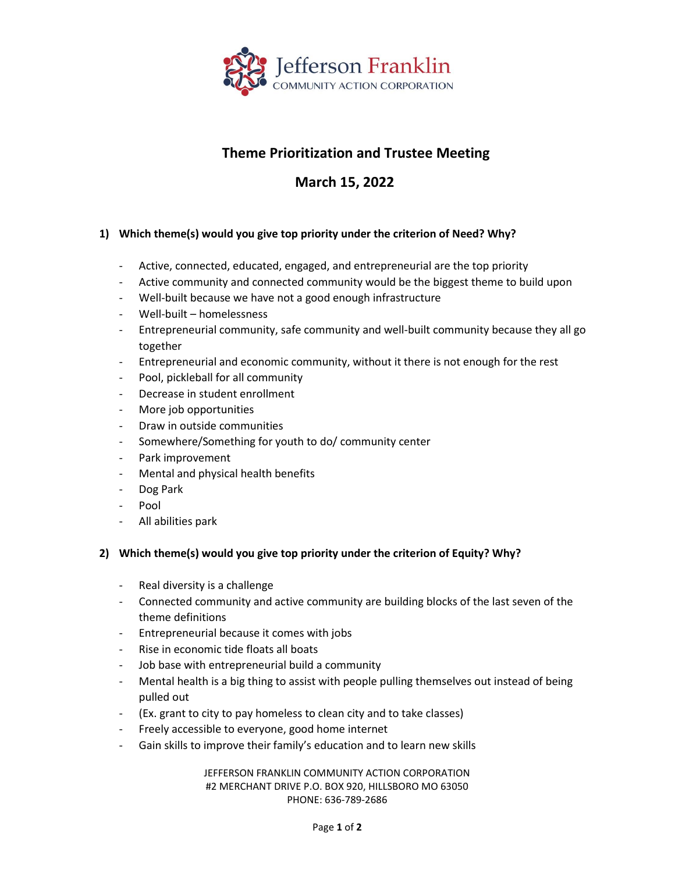

## **Theme Prioritization and Trustee Meeting**

## **March 15, 2022**

## **1) Which theme(s) would you give top priority under the criterion of Need? Why?**

- Active, connected, educated, engaged, and entrepreneurial are the top priority
- Active community and connected community would be the biggest theme to build upon
- Well-built because we have not a good enough infrastructure
- Well-built homelessness
- Entrepreneurial community, safe community and well-built community because they all go together
- Entrepreneurial and economic community, without it there is not enough for the rest
- Pool, pickleball for all community
- Decrease in student enrollment
- More job opportunities
- Draw in outside communities
- Somewhere/Something for youth to do/ community center
- Park improvement
- Mental and physical health benefits
- Dog Park
- Pool
- All abilities park

## **2) Which theme(s) would you give top priority under the criterion of Equity? Why?**

- Real diversity is a challenge
- Connected community and active community are building blocks of the last seven of the theme definitions
- Entrepreneurial because it comes with jobs
- Rise in economic tide floats all boats
- Job base with entrepreneurial build a community
- Mental health is a big thing to assist with people pulling themselves out instead of being pulled out
- (Ex. grant to city to pay homeless to clean city and to take classes)
- Freely accessible to everyone, good home internet
- Gain skills to improve their family's education and to learn new skills

JEFFERSON FRANKLIN COMMUNITY ACTION CORPORATION #2 MERCHANT DRIVE P.O. BOX 920, HILLSBORO MO 63050 PHONE: 636-789-2686